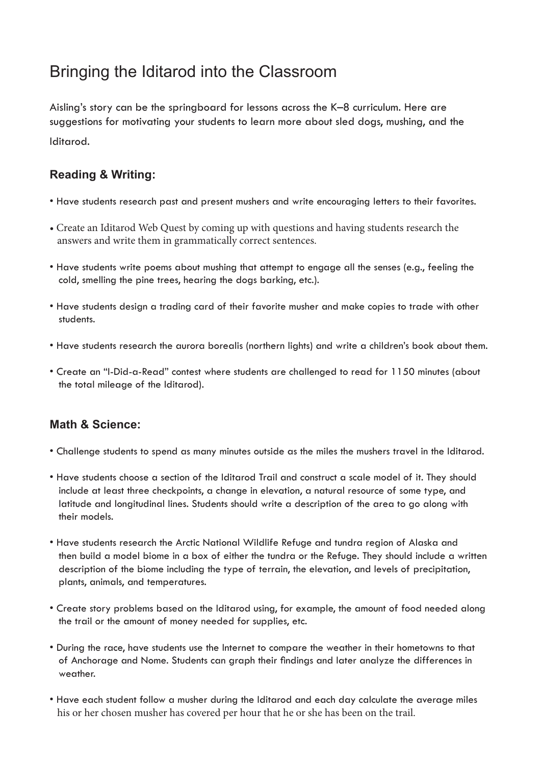# Bringing the Iditarod into the Classroom

Aisling's story can be the springboard for lessons across the K–8 curriculum. Here are suggestions for motivating your students to learn more about sled dogs, mushing, and the Iditarod.

### **Reading & Writing:**

- Have students research past and present mushers and write encouraging letters to their favorites.
- Create an Iditarod Web Quest by coming up with questions and having students research the answers and write them in grammatically correct sentences.
- Have students write poems about mushing that attempt to engage all the senses (e.g., feeling the cold, smelling the pine trees, hearing the dogs barking, etc.).
- Have students design a trading card of their favorite musher and make copies to trade with other students.
- Have students research the aurora borealis (northern lights) and write a children's book about them.
- Create an "I-Did-a-Read" contest where students are challenged to read for 1150 minutes (about the total mileage of the Iditarod).

#### **Math & Science:**

- Challenge students to spend as many minutes outside as the miles the mushers travel in the Iditarod.
- Have students choose a section of the Iditarod Trail and construct a scale model of it. They should include at least three checkpoints, a change in elevation, a natural resource of some type, and latitude and longitudinal lines. Students should write a description of the area to go along with their models.
- Have students research the Arctic National Wildlife Refuge and tundra region of Alaska and then build a model biome in a box of either the tundra or the Refuge. They should include a written description of the biome including the type of terrain, the elevation, and levels of precipitation, plants, animals, and temperatures.
- Create story problems based on the Iditarod using, for example, the amount of food needed along the trail or the amount of money needed for supplies, etc.
- During the race, have students use the Internet to compare the weather in their hometowns to that of Anchorage and Nome. Students can graph their findings and later analyze the differences in weather.
- Have each student follow a musher during the Iditarod and each day calculate the average miles his or her chosen musher has covered per hour that he or she has been on the trail.